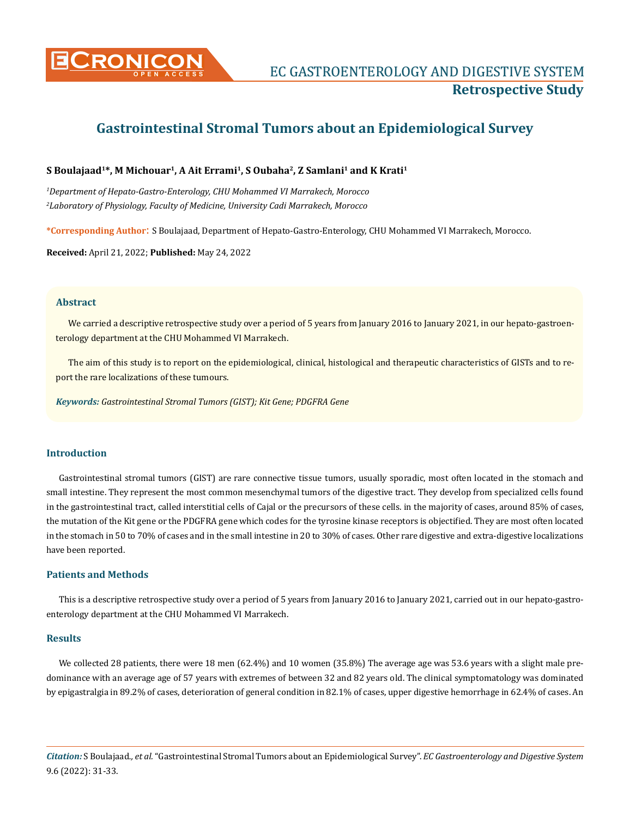

# **Gastrointestinal Stromal Tumors about an Epidemiological Survey**

## **S Boulajaad1\*, M Michouar1, A Ait Errami1, S Oubaha2, Z Samlani1 and K Krati1**

*1 Department of Hepato-Gastro-Enterology, CHU Mohammed VI Marrakech, Morocco 2 Laboratory of Physiology, Faculty of Medicine, University Cadi Marrakech, Morocco*

**\*Corresponding Author**: S Boulajaad, Department of Hepato-Gastro-Enterology, CHU Mohammed VI Marrakech, Morocco.

**Received:** April 21, 2022; **Published:** May 24, 2022

#### **Abstract**

We carried a descriptive retrospective study over a period of 5 years from January 2016 to January 2021, in our hepato-gastroenterology department at the CHU Mohammed VI Marrakech.

The aim of this study is to report on the epidemiological, clinical, histological and therapeutic characteristics of GISTs and to report the rare localizations of these tumours.

*Keywords: Gastrointestinal Stromal Tumors (GIST); Kit Gene; PDGFRA Gene*

## **Introduction**

Gastrointestinal stromal tumors (GIST) are rare connective tissue tumors, usually sporadic, most often located in the stomach and small intestine. They represent the most common mesenchymal tumors of the digestive tract. They develop from specialized cells found in the gastrointestinal tract, called interstitial cells of Cajal or the precursors of these cells. in the majority of cases, around 85% of cases, the mutation of the Kit gene or the PDGFRA gene which codes for the tyrosine kinase receptors is objectified. They are most often located in the stomach in 50 to 70% of cases and in the small intestine in 20 to 30% of cases. Other rare digestive and extra-digestive localizations have been reported.

#### **Patients and Methods**

This is a descriptive retrospective study over a period of 5 years from January 2016 to January 2021, carried out in our hepato-gastroenterology department at the CHU Mohammed VI Marrakech.

#### **Results**

We collected 28 patients, there were 18 men (62.4%) and 10 women (35.8%) The average age was 53.6 years with a slight male predominance with an average age of 57 years with extremes of between 32 and 82 years old. The clinical symptomatology was dominated by epigastralgia in 89.2% of cases, deterioration of general condition in 82.1% of cases, upper digestive hemorrhage in 62.4% of cases. An

*Citation:* S Boulajaad*., et al.* "Gastrointestinal Stromal Tumors about an Epidemiological Survey". *EC Gastroenterology and Digestive System*  9.6 (2022): 31-33.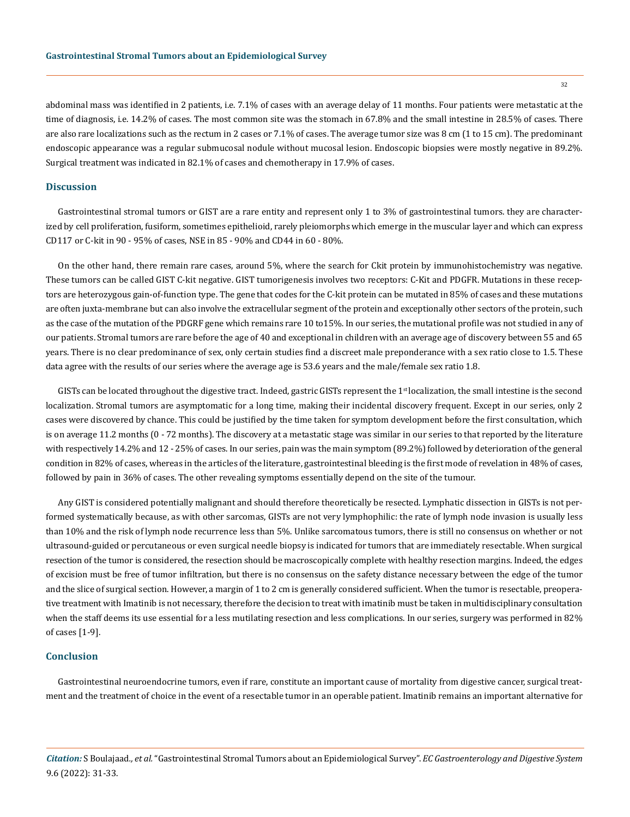abdominal mass was identified in 2 patients, i.e. 7.1% of cases with an average delay of 11 months. Four patients were metastatic at the time of diagnosis, i.e. 14.2% of cases. The most common site was the stomach in 67.8% and the small intestine in 28.5% of cases. There are also rare localizations such as the rectum in 2 cases or 7.1% of cases. The average tumor size was 8 cm (1 to 15 cm). The predominant endoscopic appearance was a regular submucosal nodule without mucosal lesion. Endoscopic biopsies were mostly negative in 89.2%. Surgical treatment was indicated in 82.1% of cases and chemotherapy in 17.9% of cases.

## **Discussion**

Gastrointestinal stromal tumors or GIST are a rare entity and represent only 1 to 3% of gastrointestinal tumors. they are characterized by cell proliferation, fusiform, sometimes epithelioid, rarely pleiomorphs which emerge in the muscular layer and which can express CD117 or C-kit in 90 - 95% of cases, NSE in 85 - 90% and CD44 in 60 - 80%.

On the other hand, there remain rare cases, around 5%, where the search for Ckit protein by immunohistochemistry was negative. These tumors can be called GIST C-kit negative. GIST tumorigenesis involves two receptors: C-Kit and PDGFR. Mutations in these receptors are heterozygous gain-of-function type. The gene that codes for the C-kit protein can be mutated in 85% of cases and these mutations are often juxta-membrane but can also involve the extracellular segment of the protein and exceptionally other sectors of the protein, such as the case of the mutation of the PDGRF gene which remains rare 10 to15%. In our series, the mutational profile was not studied in any of our patients. Stromal tumors are rare before the age of 40 and exceptional in children with an average age of discovery between 55 and 65 years. There is no clear predominance of sex, only certain studies find a discreet male preponderance with a sex ratio close to 1.5. These data agree with the results of our series where the average age is 53.6 years and the male/female sex ratio 1.8.

GISTs can be located throughout the digestive tract. Indeed, gastric GISTs represent the 1<sup>st</sup> localization, the small intestine is the second localization. Stromal tumors are asymptomatic for a long time, making their incidental discovery frequent. Except in our series, only 2 cases were discovered by chance. This could be justified by the time taken for symptom development before the first consultation, which is on average 11.2 months (0 - 72 months). The discovery at a metastatic stage was similar in our series to that reported by the literature with respectively 14.2% and 12 - 25% of cases. In our series, pain was the main symptom (89.2%) followed by deterioration of the general condition in 82% of cases, whereas in the articles of the literature, gastrointestinal bleeding is the first mode of revelation in 48% of cases, followed by pain in 36% of cases. The other revealing symptoms essentially depend on the site of the tumour.

Any GIST is considered potentially malignant and should therefore theoretically be resected. Lymphatic dissection in GISTs is not performed systematically because, as with other sarcomas, GISTs are not very lymphophilic: the rate of lymph node invasion is usually less than 10% and the risk of lymph node recurrence less than 5%. Unlike sarcomatous tumors, there is still no consensus on whether or not ultrasound-guided or percutaneous or even surgical needle biopsy is indicated for tumors that are immediately resectable. When surgical resection of the tumor is considered, the resection should be macroscopically complete with healthy resection margins. Indeed, the edges of excision must be free of tumor infiltration, but there is no consensus on the safety distance necessary between the edge of the tumor and the slice of surgical section. However, a margin of 1 to 2 cm is generally considered sufficient. When the tumor is resectable, preoperative treatment with Imatinib is not necessary, therefore the decision to treat with imatinib must be taken in multidisciplinary consultation when the staff deems its use essential for a less mutilating resection and less complications. In our series, surgery was performed in 82% of cases [1-9].

#### **Conclusion**

Gastrointestinal neuroendocrine tumors, even if rare, constitute an important cause of mortality from digestive cancer, surgical treatment and the treatment of choice in the event of a resectable tumor in an operable patient. Imatinib remains an important alternative for

*Citation:* S Boulajaad*., et al.* "Gastrointestinal Stromal Tumors about an Epidemiological Survey". *EC Gastroenterology and Digestive System*  9.6 (2022): 31-33.

32